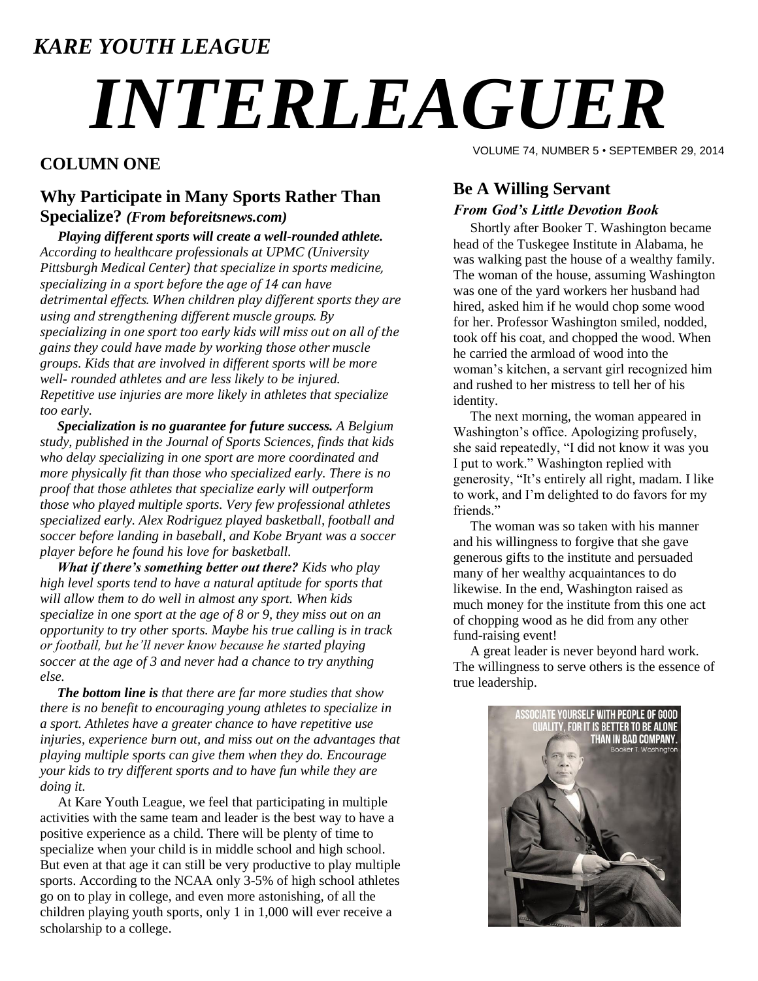### *KARE YOUTH LEAGUE*

# *INTERLEAGUER*

#### **COLUMN ONE**

#### **Why Participate in Many Sports Rather Than Specialize?** *(From beforeitsnews.com)*

*Playing different sports will create a well-rounded athlete. According to healthcare professionals at UPMC (University Pittsburgh Medical Center) that specialize in sports medicine, specializing in a sport before the age of 14 can have detrimental effects. When children play different sports they are using and strengthening different muscle groups. By specializing in one sport too early kids will miss out on all of the gains they could have made by working those other muscle groups. Kids that are involved in different sports will be more well- rounded athletes and are less likely to be injured. Repetitive use injuries are more likely in athletes that specialize too early.*

 *Specialization is no guarantee for future success. A Belgium study, published in the Journal of Sports Sciences, finds that kids who delay specializing in one sport are more coordinated and more physically fit than those who specialized early. There is no proof that those athletes that specialize early will outperform those who played multiple sports. Very few professional athletes specialized early. Alex Rodriguez played basketball, football and soccer before landing in baseball, and Kobe Bryant was a soccer player before he found his love for basketball.*

 *What if there's something better out there? Kids who play high level sports tend to have a natural aptitude for sports that will allow them to do well in almost any sport. When kids specialize in one sport at the age of 8 or 9, they miss out on an opportunity to try other sports. Maybe his true calling is in track or football, but he'll never know because he started playing soccer at the age of 3 and never had a chance to try anything else.*

 *The bottom line is that there are far more studies that show there is no benefit to encouraging young athletes to specialize in a sport. Athletes have a greater chance to have repetitive use injuries, experience burn out, and miss out on the advantages that playing multiple sports can give them when they do. Encourage your kids to try different sports and to have fun while they are doing it.*

At Kare Youth League, we feel that participating in multiple activities with the same team and leader is the best way to have a positive experience as a child. There will be plenty of time to specialize when your child is in middle school and high school. But even at that age it can still be very productive to play multiple sports. According to the NCAA only 3-5% of high school athletes go on to play in college, and even more astonishing, of all the children playing youth sports, only 1 in 1,000 will ever receive a scholarship to a college.

VOLUME 74, NUMBER 5 • SEPTEMBER 29, 2014

#### **Be A Willing Servant** *From God's Little Devotion Book*

 Shortly after Booker T. Washington became head of the Tuskegee Institute in Alabama, he was walking past the house of a wealthy family. The woman of the house, assuming Washington was one of the yard workers her husband had hired, asked him if he would chop some wood for her. Professor Washington smiled, nodded, took off his coat, and chopped the wood. When he carried the armload of wood into the woman's kitchen, a servant girl recognized him and rushed to her mistress to tell her of his identity.

 The next morning, the woman appeared in Washington's office. Apologizing profusely, she said repeatedly, "I did not know it was you I put to work." Washington replied with generosity, "It's entirely all right, madam. I like to work, and I'm delighted to do favors for my friends."

 The woman was so taken with his manner and his willingness to forgive that she gave generous gifts to the institute and persuaded many of her wealthy acquaintances to do likewise. In the end, Washington raised as much money for the institute from this one act of chopping wood as he did from any other fund-raising event!

 A great leader is never beyond hard work. The willingness to serve others is the essence of true leadership.